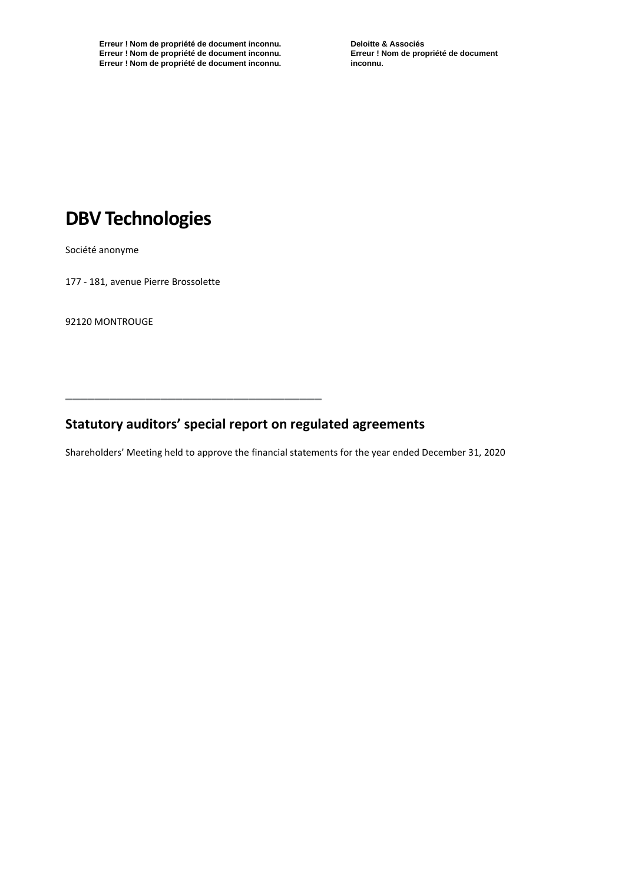**Erreur ! Nom de propriété de document inconnu. Erreur ! Nom de propriété de document inconnu. Erreur ! Nom de propriété de document inconnu.** **Deloitte & Associés Erreur ! Nom de propriété de document inconnu.**

# **DBV Technologies**

Société anonyme

177 - 181, avenue Pierre Brossolette

92120 MONTROUGE

## **Statutory auditors' special report on regulated agreements**

**\_\_\_\_\_\_\_\_\_\_\_\_\_\_\_\_\_\_\_\_\_\_\_\_\_\_\_\_\_\_\_\_\_\_\_**

Shareholders' Meeting held to approve the financial statements for the year ended December 31, 2020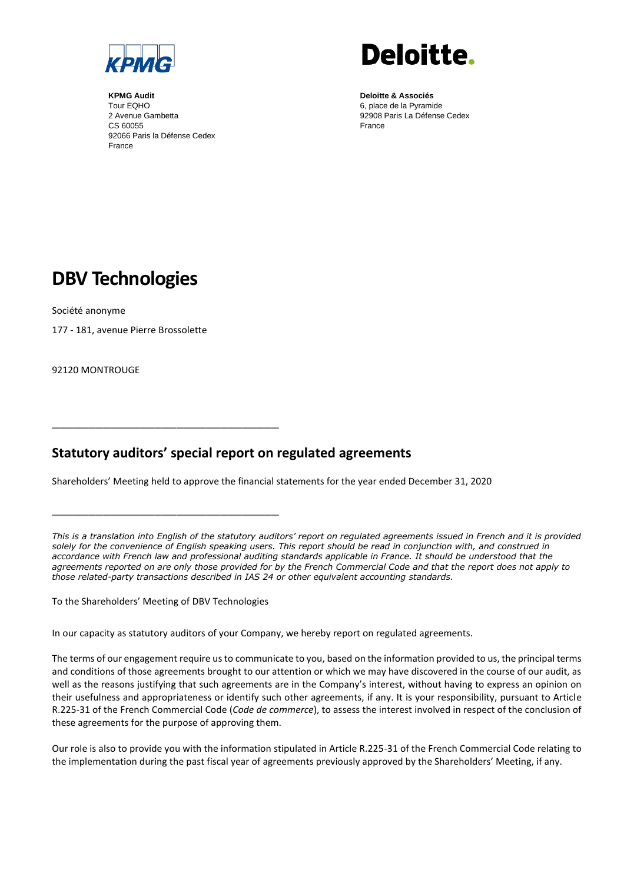

**KPMG Audit** Tour EQHO 2 Avenue Gambetta CS 60055 92066 Paris la Défense Cedex France



**Deloitte & Associés** 6, place de la Pyramide 92908 Paris La Défense Cedex France

## **DBV Technologies**

Société anonyme

177 - 181, avenue Pierre Brossolette

92120 MONTROUGE

### **Statutory auditors' special report on regulated agreements**

Shareholders' Meeting held to approve the financial statements for the year ended December 31, 2020

*This is a translation into English of the statutory auditors' report on regulated agreements issued in French and it is provided solely for the convenience of English speaking users. This report should be read in conjunction with, and construed in accordance with French law and professional auditing standards applicable in France. It should be understood that the agreements reported on are only those provided for by the French Commercial Code and that the report does not apply to those related-party transactions described in IAS 24 or other equivalent accounting standards.*

To the Shareholders' Meeting of DBV Technologies

**\_\_\_\_\_\_\_\_\_\_\_\_\_\_\_\_\_\_\_\_\_\_\_\_\_\_\_\_\_\_\_**

**\_\_\_\_\_\_\_\_\_\_\_\_\_\_\_\_\_\_\_\_\_\_\_\_\_\_\_\_\_\_\_**

In our capacity as statutory auditors of your Company, we hereby report on regulated agreements.

The terms of our engagement require us to communicate to you, based on the information provided to us, the principal terms and conditions of those agreements brought to our attention or which we may have discovered in the course of our audit, as well as the reasons justifying that such agreements are in the Company's interest, without having to express an opinion on their usefulness and appropriateness or identify such other agreements, if any. It is your responsibility, pursuant to Article R.225-31 of the French Commercial Code (*Code de commerce*), to assess the interest involved in respect of the conclusion of these agreements for the purpose of approving them.

Our role is also to provide you with the information stipulated in Article R.225-31 of the French Commercial Code relating to the implementation during the past fiscal year of agreements previously approved by the Shareholders' Meeting, if any.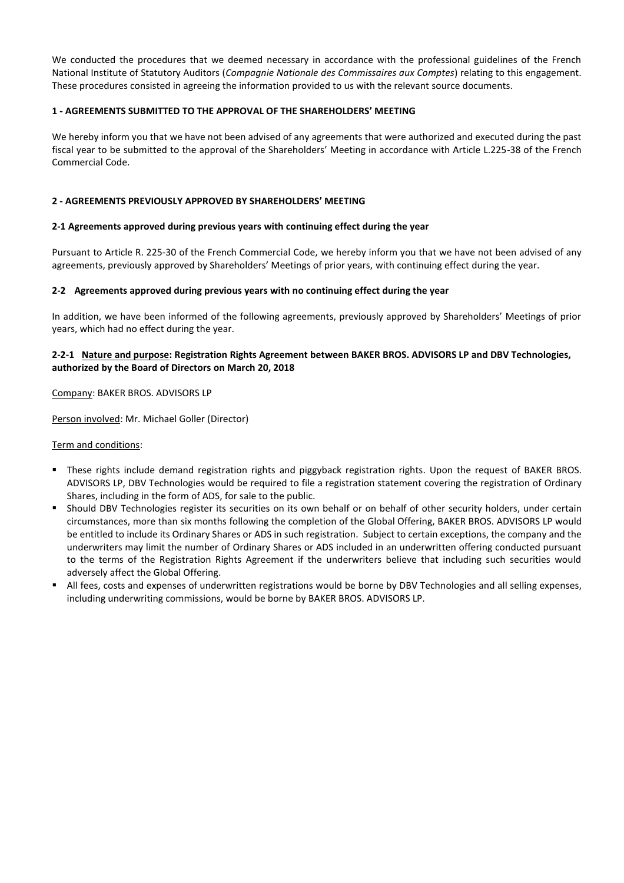We conducted the procedures that we deemed necessary in accordance with the professional guidelines of the French National Institute of Statutory Auditors (*Compagnie Nationale des Commissaires aux Comptes*) relating to this engagement. These procedures consisted in agreeing the information provided to us with the relevant source documents.

#### **1 - AGREEMENTS SUBMITTED TO THE APPROVAL OF THE SHAREHOLDERS' MEETING**

We hereby inform you that we have not been advised of any agreements that were authorized and executed during the past fiscal year to be submitted to the approval of the Shareholders' Meeting in accordance with Article L.225-38 of the French Commercial Code.

#### **2 - AGREEMENTS PREVIOUSLY APPROVED BY SHAREHOLDERS' MEETING**

#### **2-1 Agreements approved during previous years with continuing effect during the year**

Pursuant to Article R. 225-30 of the French Commercial Code, we hereby inform you that we have not been advised of any agreements, previously approved by Shareholders' Meetings of prior years, with continuing effect during the year.

#### **2-2 Agreements approved during previous years with no continuing effect during the year**

In addition, we have been informed of the following agreements, previously approved by Shareholders' Meetings of prior years, which had no effect during the year.

#### **2-2-1 Nature and purpose: Registration Rights Agreement between BAKER BROS. ADVISORS LP and DBV Technologies, authorized by the Board of Directors on March 20, 2018**

Company: BAKER BROS. ADVISORS LP

Person involved: Mr. Michael Goller (Director)

Term and conditions:

- These rights include demand registration rights and piggyback registration rights. Upon the request of BAKER BROS. ADVISORS LP, DBV Technologies would be required to file a registration statement covering the registration of Ordinary Shares, including in the form of ADS, for sale to the public.
- **•** Should DBV Technologies register its securities on its own behalf or on behalf of other security holders, under certain circumstances, more than six months following the completion of the Global Offering, BAKER BROS. ADVISORS LP would be entitled to include its Ordinary Shares or ADS in such registration. Subject to certain exceptions, the company and the underwriters may limit the number of Ordinary Shares or ADS included in an underwritten offering conducted pursuant to the terms of the Registration Rights Agreement if the underwriters believe that including such securities would adversely affect the Global Offering.
- All fees, costs and expenses of underwritten registrations would be borne by DBV Technologies and all selling expenses, including underwriting commissions, would be borne by BAKER BROS. ADVISORS LP.